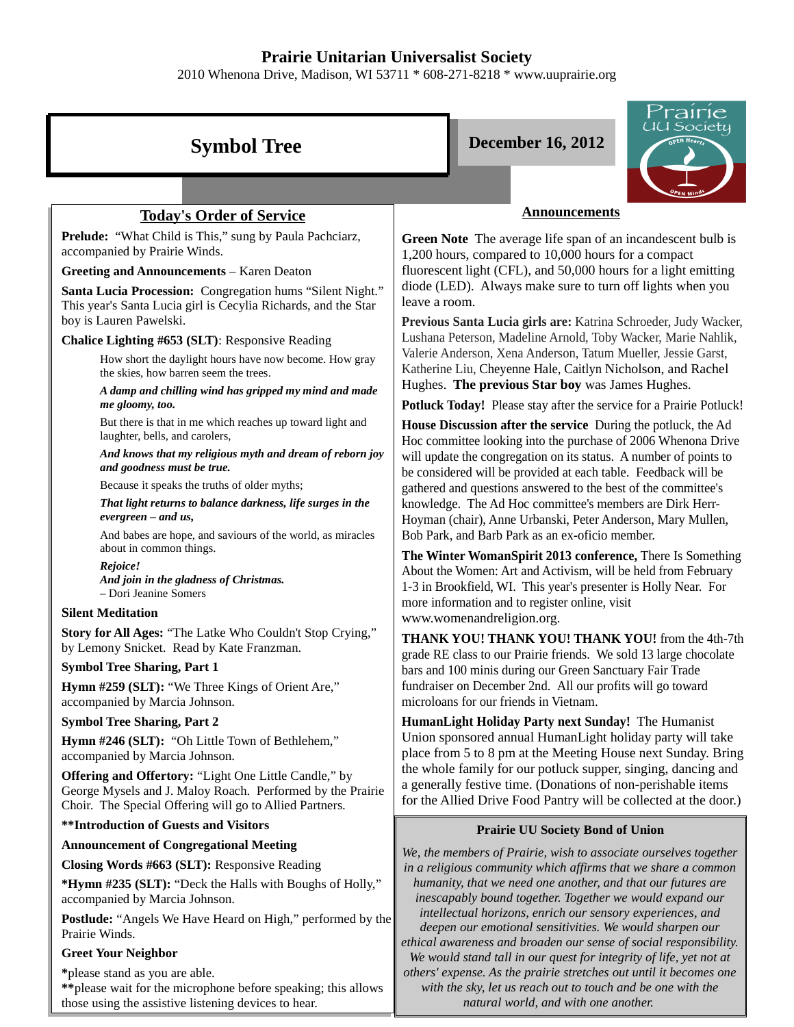## **Prairie Unitarian Universalist Society**

2010 Whenona Drive, Madison, WI 53711 \* 608-271-8218 \* www.uuprairie.org



*others' expense. As the prairie stretches out until it becomes one with the sky, let us reach out to touch and be one with the natural world, and with one another.* 

**\***please stand as you are able.

**\*\***please wait for the microphone before speaking; this allows those using the assistive listening devices to hear.